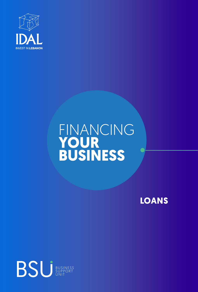

# FINANCING **YOUR BUSINESS**

**LOANS**

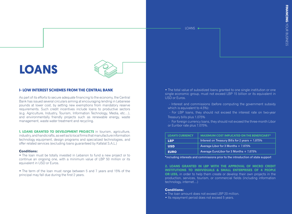# **LOANS**



# **I- LOW INTEREST SCHEMES FROM THE CENTRAL BANK**

As part of its efforts to secure adequate financing to the economy, the Central Bank has issued several circulars aiming at encouraging lending in Lebanese pounds at lower cost, by setting new exemptions from mandatory reserve requirements. Such credit incentives include loans to productive sectors (e.g. Agriculture, Industry, Tourism, Information Technology, Media, etc…), and environmentally friendly projects such as renewable energy, waste management, waste water treatment and recycling.

**1. LOANS GRANTED TO DEVELOPMENT PROJECTS** in tourism, agriculture, industry, and handicrafts, as well as to local firms that manufacture information technology equipment, design programs and specialized technologies, and offer related services (excluding loans guaranteed by Kafalat S.A.L.)

#### **Conditions:**

• The loan must be totally invested in Lebanon to fund a new project or to continue an ongoing one, with a minimum value of LBP 50 million or its equivalent in USD or Euros.

• The term of the loan must range between 5 and 7 years and 15% of the principal may fall due during the first 2 years.

• The total value of subsidized loans granted to one single institution or one single economic group, must not exceed LBP 15 billion or its equivalent in USD or Euros.

 - Interest and commissions (before computing the government subsidy which is equivalent to 4.5%):

 - For LBP loans, they should not exceed the interest rate on two-year Treasury bills plus 1.075%

- For foreign currency loans, they should not exceed the three-month Libor or Euribor rate plus 7.075%.

| <b>LOAN'S CURRENCY</b> | <b>MAXIMUM COST IMPLICATED ON THE BENEFICIARY*</b> |
|------------------------|----------------------------------------------------|
| <b>LBP</b>             | Interest on Treasury Bills for 2 years + 1.075%    |
| <b>USD</b>             | Average Libor for 3 Months $+ 7.075\%$             |
| <b>EURO</b>            | Average EuroLibor for 3 Months + 7.075%            |

\*including interests and commissions prior to the introduction of state support

**2. LOANS GRANTED IN LBP WITH THE APPROVAL OF MICRO CREDIT INSTITUTIONS TO INDIVIDUALS & SMALL ENTERPRISES OF 4 PEOPLE OR LESS,** in order to help them create or develop their own projects in the production, services, tourism, or commercial fields (including information technology, internet…)

#### **Conditions:**

- The loan amount does not exceed LBP 20 million.
- Its repayment period does not exceed 5 years.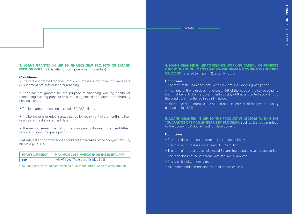# **3. LOANS GRANTED IN LBP TO FINANCE NEW PROJECTS OR EXPAND**

**EXISTING ONES** (not benefiting from government subsidies)

#### **Conditions:**

• They are not granted for consumption purposes or for financing real estate development projects or land purchasing.

• They are not granted for the purpose of financing working capital or refinancing existing projects or purchasing stocks or shares or reimbursing previous loans.

• The loan amount does not exceed LBP 22.5 billion.

• The borrower is granted a grace period for repayment of six months to four years as of the disbursement date.

• The reimbursement period of the loan principal does not exceed fifteen years, excluding the grace period.

• All interest and commissions should not exceed 40% of the one-year treasury bill yield plus 3.3%.

| <b>LOAN'S CURRENCY</b> | <b>MAXIMUM COST IMPLICATED ON THE BENEFICIARY*</b> |
|------------------------|----------------------------------------------------|
| LBP                    | 40% of 1 year Treasury bills plus 3.3%             |

\*including interests and commissions prior to the introduction of state support

**4. LOANS GRANTED IN LBP TO FINANCE WORKING CAPITAL OF PROJECTS FUNDED THROUGH LOANS THAT BENEFIT FROM A GOVERNMENT SUBSIDY OR LOANS** (referred to in point 4), after 1/1/2015:

#### **Conditions:**

- The term of the loan does not exceed 2 years, including 1 grace period.
- The value of the loan does not exceed 10% of the value of the corresponding loan that benefits from a government subsidy of that is granted according to the conditions mentioned in point 4 above.
- All interest and commissions should not exceed 40% of the 1 year treasury bills yield plus 3.3%

**5. LOANS GRANTED IN LBP TO THE PRODUCTIVE SECTORS WITHIN THE "GUARANTEE OF SMALL ENTERPRISES" PROGRAM**, such as loans guaranteed by the Economic & Social Fund for Development:

## **Conditions:**

- The loan does not benefit from a government subsidy.
- The loan amount does not exceed LBP 75 million.
- The term of the loan does not exceed 7 years, including one year grace period.
- The loan does not benefit from Kafalat S.A.L guarantee.
- The loan is not a micro loan.
- All interest and commissions should not exceed 6%.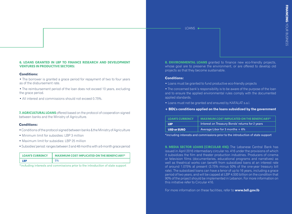#### **6. LOANS GRANTED IN LBP TO FINANCE RESEARCH AND DEVELOPMENT VENTURES IN PRODUCTIVE SECTORS:**

#### **Conditions:**

• The borrower is granted a grace period for repayment of two to four years as of the disbursement rate.

• The reimbursement period of the loan does not exceed 10 years, excluding the grace period.

• All interest and commissions should not exceed 0.75%.

**7. AGRICULTURAL LOANS** offered based on the protocol of cooperation signed between banks and the Ministry of Agriculture.

#### **Conditions:**

- Conditions of the protocol signed between banks & the Ministry of Agriculture
- Minimum limit for subsidies: LBP 3 million
- Maximum limit for subsidies: LBP 25 million
- Subsidies'period: ranges between 3 and 48 months with a 6-month grace period

| <b>LOAN'S CURRENCY</b> | <b>MAXIMUM COST IMPLICATED ON THE BENEFICIARY*</b> |
|------------------------|----------------------------------------------------|
| I RP                   |                                                    |

\*including interests and commissions prior to the introduction of state support

**8. ENVIRONMENTAL LOANS** granted to finance new eco-friendly projects, whose goal are to preserve the environment, or are offered to develop old projects so that they become sustainable.

#### **Conditions:**

• Loans must be granted to fund productive eco-friendly projects

• The concerned bank's responsibility is to be aware of the purpose of the loan and to ensure the applied environmental rules comply with the documented applied standards.

- Loans must not be granted and ensured by KAFALAT s.a.l.
- **+ BDL's conditions applied on the loans subsidized by the government**

| <b>LOAN'S CURRENCY</b> | MAXIMUM COST IMPLICATED ON THE BENEFICIARY*     |
|------------------------|-------------------------------------------------|
| LBP.                   | Interest on Treasury Bonds' returns for 2 years |
| <b>USD or EURO</b>     | Average Libor for 3 months + 6%                 |

\*including interests and commissions prior to the introduction of state support

**9. MEDIA SECTOR LOANS (CIRCULAR 416):** The Lebanese Central Bank has issued in April 2016 intermediary circular no. 416 under the provisions of which it subsidizes the film and theater production industries. Producers of cinema or television films (documentaries, educational programs and narratives) as well as theatrical works can benefit from subsidized loans at an interest rate of around 1.075% at present (3.75% minus 50% of the one-year treasury bill rate). The subsidized loans can have a tenor of up to 16 years, including a grace period of two years, and will be capped at LBP 4,500 billion on the condition that 90% of the project should be implemented in Lebanon. For more information on this initiative refer to Circular 416.

For more information on these facilities, refer to **<www.bdl.gov.lb>**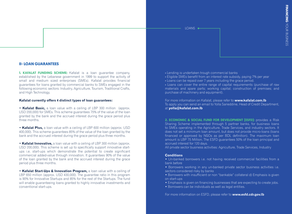# **II- LOAN GUARANTEES**

**1. KAFALAT FUNDING SCHEME:** Kafalat is a loan guarantee company, established by the Lebanese government in 1999 to support the activity of small and medium sized enterprises (SMEs). Kafalat provides financial guarantees for loans granted by commercial banks to SMEs engaged in the following economic sectors: Industry, Agriculture, Tourism, Traditional Crafts, and High Technology.

#### **Kafalat currently offers 4 distinct types of loan guarantees:**

• **Kafalat Basic,** a loan value with a ceiling of LBP 300 million (approx. USD 200,000) for SMEs. This scheme guarantees 75% of the value of the loan granted by the bank and the accrued interest during the grace period plus three months.

• **Kafalat Plus,** a loan value with a ceiling of LBP 600 million (approx. USD 400,000). This scheme guarantees 85% of the value of the loan granted by the bank and the accrued interest during the grace period plus three months.

• **Kafalat Innovative,** a loan value with a ceiling of LBP 300 million (approx. USD 200,000). This scheme is set up to specifically support innovative startups i.e. start-ups which demonstrate the potential to create significant commercial added-value through innovation. It guarantees 90% of the value of the loan granted by the bank and the accrued interest during the grace period plus three months.

• **Kafalat Start-Ups & Innovation Program,** a loan value with a ceiling of LBP 650 million (approx. USD 430,000). The guarantee ratio in this program is 90% for Innovative Startups and 85% for the rest of the Startups. The fund will enable guaranteeing loans granted to highly innovative investments and conventional start-ups.

- **-** Lending is undertaken trough commercial banks
- **-** Eligible SMEs benefit from an interest rate subsidy, paying 7% per year
- **-** Loans can be repaid over 7 years including the grace period.

**-** Loans can cover the entire range of capital requirements (purchase of raw [materials and spare parts; working capital; construction of premises; and](www.kafalat.com.lb)  purchase of machinery and equipment).

For more information on Kafalat, please refer to **www.kafalat.com.lb** To apply you can send an email to Yolla Sarieddine, Head of Credit Department, at **[yolla@kafalat.com.lb](mailto:yolla%40kafalat.com.lb?subject=)**

**2. ECONOMIC & SOCIAL FUND FOR DEVELOPMENT (ESFD):** provides a Risk Sharing Scheme implemented through 5 partner banks, for business loans to SMEs operating in the Agriculture, Trade Services, and industry sectors. It does not set a minimum loan amount, but does not provide micro-loans (loans financed or approved by NGOs as per BDL definition). The maximum loan amount is LBP 75 Million. The ESFD guarantees 50% of the loan principal and accrued interest for 120 days.

All private sector business activities: Agriculture, Trade Services, Industry

#### **Conditions**

- Un-banked borrowers i.e. not having received commercial facilities from a bank before
- Borrowers working in any un-banked private sector business activities i.e. sectors considered risky by banks
- Borrowers with insufficient or non "bankable" collateral d) Emphasis is given on start-ups
- Emphasis is given on financing businesses that are expecting to create jobs.
- Borrowers can be individuals as well as legal entities.

For more information on ESFD, please refer to **<www.esfd.cdr.gov.lb>**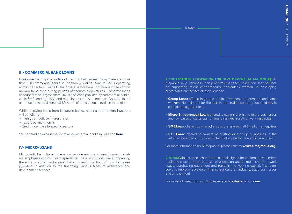# **III- COMMERCIAL BANK LOANS**

Banks are the major providers of credit to businesses. Today there are more than 100 commercial banks in Lebanon providing loans to SMEs operating across all sectors. Loans to the private sector have continuously been on an upward trend even during periods of economic downturns. Corporate loans account for the largest share (46.8%) of loans provided by commercial banks, while SME lending (15%) and retail loans (14.1%) come next. Doubtful loans continue to be provisioned at 89%, one of the soundest levels in the region.

While receiving loans from Lebanese banks, national and foreign investors will benefit from:

- Highly competitive interest rates
- flexible payment terms
- Credit incentives to specific sectors

You can find an exhaustive list of all commercial banks in Lebanon **[here](http://www.abl.org.lb/allclassification.aspx%3Fpageid%3D129)**

# **IV- MICRO-LOANS**

Microcredit Institutions in Lebanon provide micro and small loans to startup, employees and micro-entrepreneurs. These institutions aim at improving the social, cultural, and economical and health livelihood of rural Lebanese providing in addition to the financing, various types of assistance and development services.

**1. THE LEBANESE ASSOCIATION FOR DEVELOPMENT (AL MAJMOUA):** Al Majmoua is a Lebanese non-profit microfinance institution that focuses on supporting micro entrepreneurs, particularly women, in developing sustainable businesses all over Lebanon.

- **Group Loan:** offered to groups of 3 to 10 women entrepreneurs and some workers. No collateral for the loan is required since the group solidarity is considered a guarantee.
- **Micro-Entrepreneur Loan:** offered to owners of existing micro-businesses and few cases of starts-ups for financing fixed assets or working capital.
- **SME Loan:** offered to owners of existing or start-up small & medium enterprises
- **ICT Loan:** offered to owners of existing or start-up businesses in the information and communication technology sector located in rural areas

For more information on Al Majmoua, please refer to **<www.almajmoua.org>**

**2. VITAS:** Vitas provides short-term Loans designed for customers with micro businesses used in the purpose of expansion and/or modification of work space, purchasing equipment and replenishing working capital. The loans serve to improve, develop or finance agricultural, industry, trade businesses and employment

For more information on Vitas, please refer to **<vitaslebanon.com>**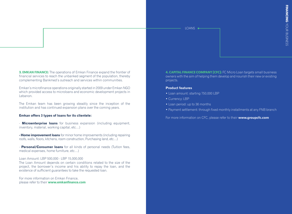**3. EMKAN FINANCE:** The operations of Emkan Finance expand the frontier of financial services to reach the unbanked segment of the population, thereby complementing Bankmed's outreach and services within communities.

Emkan's microfinance operations originally started in 2009 under Emkan NGO which provided access to microloans and economic development projects in Lebanon.

The Emkan team has been growing steadily since the inception of the institution and has continued expansion plans over the coming years.

#### **Emkan offers 3 types of loans for its clientele:**

- **Microenterprise loans** for business expansion (including equipment, inventory, material, working capital, etc…)

**- Home improvement loans** for minor home improvements (including repairing roofs, walls, floors, kitchens, room construction, Purchasing land, etc…)

- **Personal/Consumer loans** for all kinds of personal needs (Tuition fees, medical expenses, home furniture, etc…)

#### Loan Amount: LBP 500,000 - LBP 15,000,000

The Loan Amount depends on certain conditions related to the size of the project, the borrower's income and his ability to repay the loan, and the existence of sufficient guarantees to take the requested loan.

For more information on Emkan Finance, please refer to their **<www.emkanfinance.com>** **4. CAPITAL FINANCE COMPANY (CFC):** FC Micro Loan targets small business owners with the aim of helping them develop and nourish their new or existing projects.

## **Product features**

- Loan amount: starting 750,000 LBP
- Currency: LBP
- Loan period: up to 36 months
- Payment settlement: through fixed monthly installments at any FNB branch

For more information on CFC, please refer to their **[www.groupcfc.com](https://www.groupcfc.com/loan/Micro-Loan)**